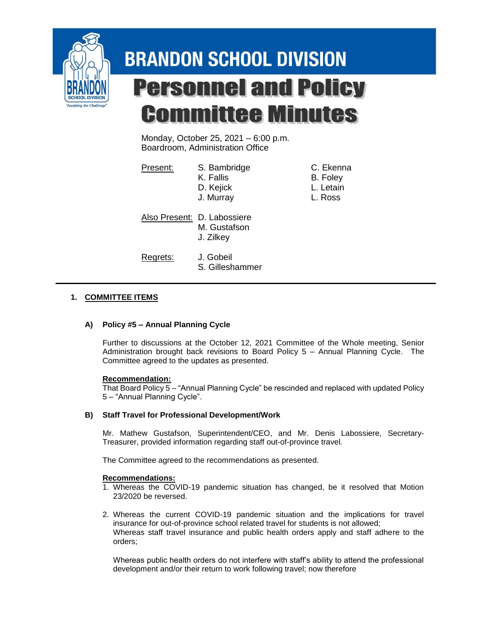

# **BRANDON SCHOOL DIVISION Personnel and Policy Committee Minutes**

Monday, October 25, 2021 – 6:00 p.m. Boardroom, Administration Office

Present: S. Bambridge C. Ekenna

- K. Fallis B. Foley D. Kejick L. Letain
- J. Murray L. Ross
- Also Present: D. Labossiere M. Gustafson J. Zilkey

Regrets: J. Gobeil S. Gilleshammer

# **1. COMMITTEE ITEMS**

# **A) Policy #5 – Annual Planning Cycle**

Further to discussions at the October 12, 2021 Committee of the Whole meeting, Senior Administration brought back revisions to Board Policy 5 – Annual Planning Cycle. The Committee agreed to the updates as presented.

## **Recommendation:**

That Board Policy 5 – "Annual Planning Cycle" be rescinded and replaced with updated Policy 5 – "Annual Planning Cycle".

## **B) Staff Travel for Professional Development/Work**

Mr. Mathew Gustafson, Superintendent/CEO, and Mr. Denis Labossiere, Secretary-Treasurer, provided information regarding staff out-of-province travel.

The Committee agreed to the recommendations as presented.

#### **Recommendations:**

- 1. Whereas the COVID-19 pandemic situation has changed, be it resolved that Motion 23/2020 be reversed.
- 2. Whereas the current COVID-19 pandemic situation and the implications for travel insurance for out-of-province school related travel for students is not allowed; Whereas staff travel insurance and public health orders apply and staff adhere to the orders;

Whereas public health orders do not interfere with staff's ability to attend the professional development and/or their return to work following travel; now therefore